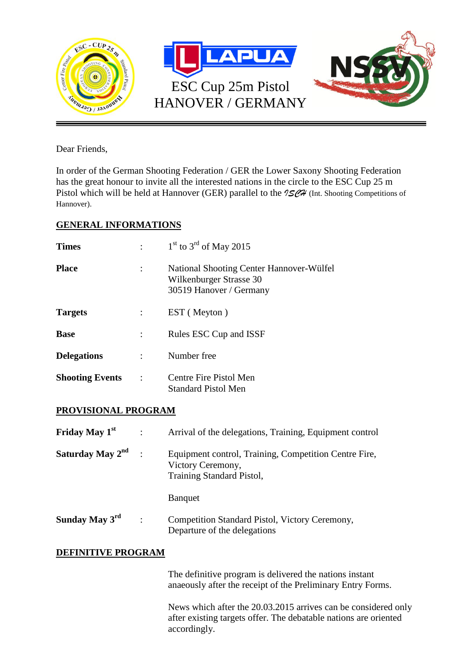

Dear Friends,

In order of the German Shooting Federation / GER the Lower Saxony Shooting Federation has the great honour to invite all the interested nations in the circle to the ESC Cup 25 m Pistol which will be held at Hannover (GER) parallel to the  $15\%$  (Int. Shooting Competitions of Hannover).

**02.05.-04.05.2014**

## **GENERAL INFORMATIONS**

| <b>Times</b>           |           | $1st$ to $3rd$ of May 2015                                                                     |
|------------------------|-----------|------------------------------------------------------------------------------------------------|
| <b>Place</b>           |           | National Shooting Center Hannover-Wülfel<br>Wilkenburger Strasse 30<br>30519 Hanover / Germany |
| <b>Targets</b>         |           | EST (Meyton)                                                                                   |
| <b>Base</b>            |           | Rules ESC Cup and ISSF                                                                         |
| <b>Delegations</b>     |           | Number free                                                                                    |
| <b>Shooting Events</b> | $\cdot$ : | Centre Fire Pistol Men<br>Standard Pistol Men                                                  |

## **PROVISIONAL PROGRAM**

| Friday May 1 <sup>st</sup>   | $\ddot{\phantom{a}}$ | Arrival of the delegations, Training, Equipment control                                                 |
|------------------------------|----------------------|---------------------------------------------------------------------------------------------------------|
| Saturday May 2 <sup>nd</sup> |                      | Equipment control, Training, Competition Centre Fire,<br>Victory Ceremony,<br>Training Standard Pistol, |
|                              |                      | <b>Banquet</b>                                                                                          |
| Sunday May $3^{rd}$          | $\ddot{\phantom{a}}$ | Competition Standard Pistol, Victory Ceremony,<br>Departure of the delegations                          |

## **DEFINITIVE PROGRAM**

The definitive program is delivered the nations instant anaeously after the receipt of the Preliminary Entry Forms.

News which after the 20.03.2015 arrives can be considered only after existing targets offer. The debatable nations are oriented accordingly.